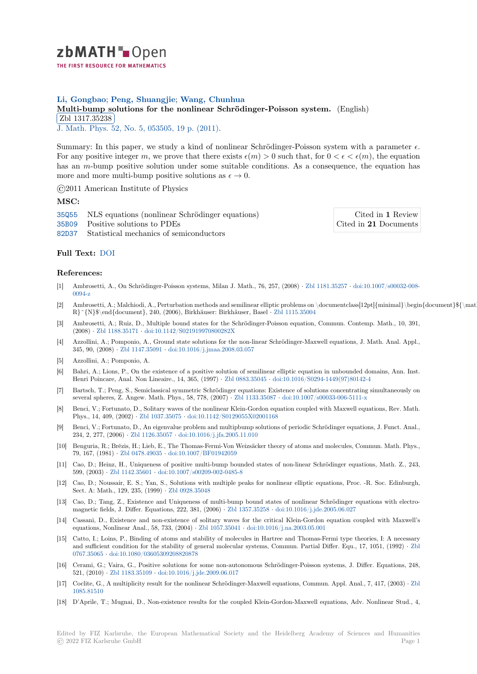

## **Li, Gongbao**; **Peng, Shuangjie**; **Wang, Chunhua**

# **[M](https://zbmath.org/)ulti-bump solutions for the nonlinear Schrödinger-Poisson system.** (English) Zbl 1317.35238

**EDI 1011.02200**<br>J. Math. Phys. 52, No. 5, 053505, 19 p. (2011).

[Summary: In this paper, we study a kind of nonlinear Schrödinger-Poisson sys](https://zbmath.org/1317.35238)tem with a parameter *ϵ*. [For any positive in](https://zbmath.org/1317.35238)teger *m*, we prove that there exists  $\epsilon(m) > 0$  such that, for  $0 < \epsilon < \epsilon(m)$ , the equation [has an](https://zbmath.org/journals/?q=se:134) *m*-bum[p positive solution under some](https://zbmath.org/?q=in:346863) suitable conditions. As a consequence, the equation has more and more multi-bump positive solutions as  $\epsilon \to 0$ .

©2011 American Institute of Physics

#### **MSC:**

35Q55 NLS equations (nonlinear Schrödinger equations)

35B09 Positive solutions to PDEs

82D37 Statistical mechanics of semiconductors

Cited in **1** Review Cited in **21** Documents

### **[Full T](https://zbmath.org/classification/?q=cc:35Q55)ext:** DOI

#### **[Refer](https://zbmath.org/classification/?q=cc:82D37)ences:**

- [1] Ambroset[ti, A.,](https://dx.doi.org/10.1063/1.3585657) On Schrödinger-Poisson systems, Milan J. Math., 76, 257, (2008) *·* Zbl 1181.35257 *·* doi:10.1007/s00032-008- 0094-z
- [2] Ambrosetti, A.; Malchiodi, A., Perturbation methods and semilinear elliptic problems on \documentclass[12pt]{minimal}\begin{document}\${\mathbb R}^{N}\$\end{document}, 240, (2006), Birkhäuser: Birkhäuser, Basel *·* Zbl 1115.35004
- [3] Ambrosetti, A.; Ruiz, D., Multiple bound states for the Schrödinger-Poisson equa[tion, Commun.](https://zbmath.org/1181.35257) C[ontemp. Math., 10, 391,](https://dx.doi.org/10.1007/s00032-008-0094-z) [\(2008\)](https://dx.doi.org/10.1007/s00032-008-0094-z) *·* Zbl 1188.35171 *·* doi:10.1142/S021919970800282X
- [4] Azzollini, A.; Pomponio, A., Ground state solutions for the non-linear Schrödinger-Maxwell equations, J. Math. Anal. Appl., 345, 90, (2008) *·* Zbl 1147.35091 *·* doi:10.1016/j.jmaa.2008.03.057
- [5] Azzollini, A.; Pomponio, A.
- [6] Bahri,A[.; Lions, P., On](https://zbmath.org/1188.35171)t[he existence of a positive solution](https://dx.doi.org/10.1142/S021919970800282X) of semilinear elliptic equation in unbounded domains, Ann. Inst. Henri Poincare, Anal. Non Lineaire., 14, 365, (1997) *·* Zbl 0883.35045 *·* doi:10.1016/S0294-1449(97)80142-4
- [7] Bartsch, T.; Pen[g, S., Semiclassi](https://zbmath.org/1147.35091)c[al symmetric Schrödinger equati](https://dx.doi.org/10.1016/j.jmaa.2008.03.057)ons: Existence of solutions concentrating simultaneously on several spheres, Z. Angew. Math. Phys., 58, 778, (2007) *·* Zbl 1133.35087 *·* doi:10.1007/s00033-006-5111-x
- [8] Benci, V.; Fortunato, D., Solitary waves of the nonlinear Klein-Gordon equation coupled with Maxwell equations, Rev. Math. Phys., 14, 409, (2002) *·* Zbl 1037.35075 *·* doi:10.1142/[S0129055X02001](https://zbmath.org/0883.35045)1[68](https://dx.doi.org/10.1016/S0294-1449(97)80142-4)
- [9] Benci, V.; Fortunato, D., An eigenvalue problem and multipbump solutions of periodic Schrödinger equations, J. Funct. Anal., 234, 2, 277, (2006) *·* Zbl 1126.35057 *·* doi:10.1016/j.jfa.20[05.11.010](https://zbmath.org/1133.35087)
- [10] Benguria, R.; Brézis, H.; Lieb, E., The Thomas-Fermi-Von Weizsäcker theory of atoms and molecules, Commun. Math. Phys., 79, 167, (1981) *·* Zbl 04[78.49035](https://zbmath.org/1037.35075) *·* doi:10.[1007/BF01942059](https://dx.doi.org/10.1142/S0129055X02001168)
- [11] Cao, D.; Heinz, H., Uniqueness of positive multi-bump bounded states of non-linear Schrödinger equations, Math. Z., 243, 599, (2003) *·* Zbl 11[42.35601](https://zbmath.org/1126.35057) *·* doi:10.[1007/s00209-002-0485-8](https://dx.doi.org/10.1016/j.jfa.2005.11.010)
- [12] Cao, D.; Noussair, E. S.; Yan, S., Solutions with multiple peaks for nonlinear elliptic equations, Proc. -R. Soc. Edinburgh, Sect. A: Math., [129, 235, \(1999\)](https://zbmath.org/0478.49035) *·* [Zbl 0928.35048](https://dx.doi.org/10.1007/BF01942059)
- [13] Cao, D.; Tang, Z., Existence and Uniqueness of multi-bump bound states of nonlinear Schrödinger equations with electromagnetic fiel[ds, J. Differ. Eq](https://zbmath.org/1142.35601)u[ations, 222, 381, \(2006\)](https://dx.doi.org/10.1007/s00209-002-0485-8) *·* Zbl 1357.35258 *·* doi:10.1016/j.jde.2005.06.027
- [14] Cassani, D., Existence and non-existence of solitary waves for the critical Klein-Gordon equation coupled with Maxwell's equations, Nonlinear Anal., 58, 73[3, \(2004\)](https://zbmath.org/0928.35048) *·* Zbl 1057.35041 *·* doi:10.1016/j.na.2003.05.001
- [15] Catto, I.; Loins, P., Binding of atoms and stability of molecules in Hartree and Thomas-Fermi type theories, I: A necessary and sufficient condition for the stability of general mol[ecular systems,](https://zbmath.org/1357.35258) [Commun. Partial Differ. Equ.,](https://dx.doi.org/10.1016/j.jde.2005.06.027) 17, 1051, (1992) *·* Zbl 0767.35065 *·* doi:10.1080/03605309208820878
- [16] Cerami, G.; Vaira, G., Positive solutions for [some non-auton](https://zbmath.org/1057.35041)[omous Schrödinger-Poisson sy](https://dx.doi.org/10.1016/j.na.2003.05.001)stems, J. Differ. Equations, 248, 521, (2010) *·* Zbl 1183.35109 *·* doi:10.1016/j.jde.2009.06.017
- [17] Coclite, G., A multiplicity result for the nonlinear Schrödinger-Maxwell equations, Commun. Appl. Anal., 7, 417, (2003) *·* [Zbl](https://zbmath.org/0767.35065) [1085.81510](https://zbmath.org/0767.35065)
- [18] D'Aprile, T.; Mugnai, D., Non-existence results for the coupled Klein-Gordon-Maxwell equations, Adv. Nonlinear Stud., 4,